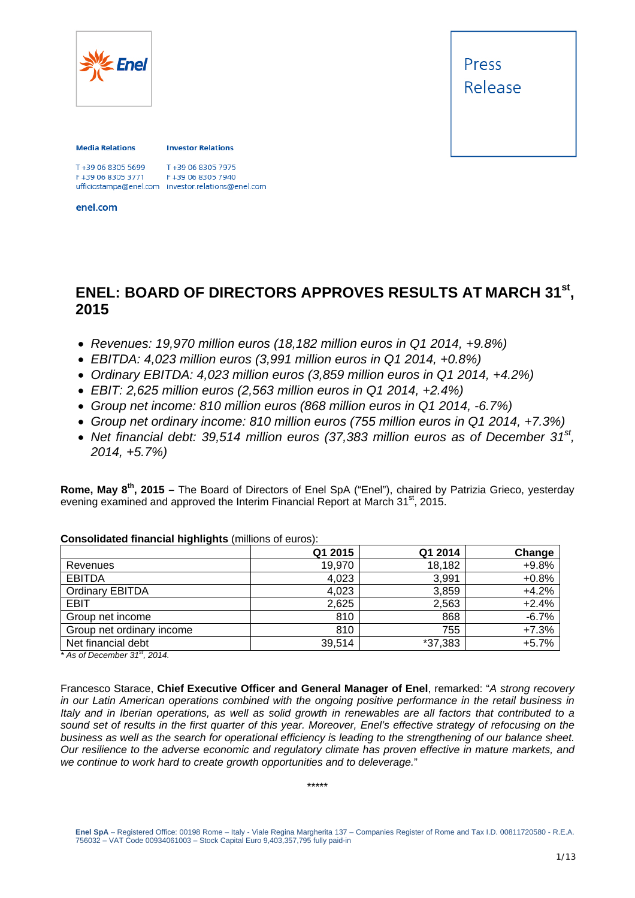

#### **Media Relations**

**Investor Relations** 

| F+39 06 8305 5699  | T+39 06 8305 7975                                  |
|--------------------|----------------------------------------------------|
| - +39 06 8305 3771 | F+39 06 8305 7940                                  |
|                    | ufficiostampa@enel.com investor.relations@enel.com |

enel.com

### **ENEL: BOARD OF DIRECTORS APPROVES RESULTS AT MARCH 31st, 2015**

- *Revenues: 19,970 million euros (18,182 million euros in Q1 2014, +9.8%)*
- *EBITDA: 4,023 million euros (3,991 million euros in Q1 2014, +0.8%)*
- *Ordinary EBITDA: 4,023 million euros (3,859 million euros in Q1 2014, +4.2%)*
- *EBIT: 2,625 million euros (2,563 million euros in Q1 2014, +2.4%)*
- *Group net income: 810 million euros (868 million euros in Q1 2014, -6.7%)*
- *Group net ordinary income: 810 million euros (755 million euros in Q1 2014, +7.3%)*
- *Net financial debt: 39,514 million euros (37,383 million euros as of December 31st, 2014, +5.7%)*

**Rome, May 8th, 2015 –** The Board of Directors of Enel SpA ("Enel"), chaired by Patrizia Grieco, yesterday evening examined and approved the Interim Financial Report at March 31<sup>st</sup>, 2015.

|                           | Q1 2015 | Q1 2014 | Change  |
|---------------------------|---------|---------|---------|
| Revenues                  | 19,970  | 18,182  | $+9.8%$ |
| <b>EBITDA</b>             | 4,023   | 3,991   | $+0.8%$ |
| <b>Ordinary EBITDA</b>    | 4,023   | 3,859   | $+4.2%$ |
| <b>EBIT</b>               | 2,625   | 2,563   | $+2.4%$ |
| Group net income          | 810     | 868     | $-6.7%$ |
| Group net ordinary income | 810     | 755     | $+7.3%$ |
| Net financial debt        | 39,514  | *37,383 | $+5.7%$ |

#### **Consolidated financial highlights** (millions of euros):

*\* As of December 31st, 2014.* 

Francesco Starace, **Chief Executive Officer and General Manager of Enel**, remarked: "*A strong recovery in our Latin American operations combined with the ongoing positive performance in the retail business in Italy and in Iberian operations, as well as solid growth in renewables are all factors that contributed to a sound set of results in the first quarter of this year. Moreover, Enel's effective strategy of refocusing on the business as well as the search for operational efficiency is leading to the strengthening of our balance sheet. Our resilience to the adverse economic and regulatory climate has proven effective in mature markets, and we continue to work hard to create growth opportunities and to deleverage.*"

\*\*\*\*\*

**Enel SpA** – Registered Office: 00198 Rome – Italy - Viale Regina Margherita 137 – Companies Register of Rome and Tax I.D. 00811720580 - R.E.A. 756032 – VAT Code 00934061003 – Stock Capital Euro 9,403,357,795 fully paid-in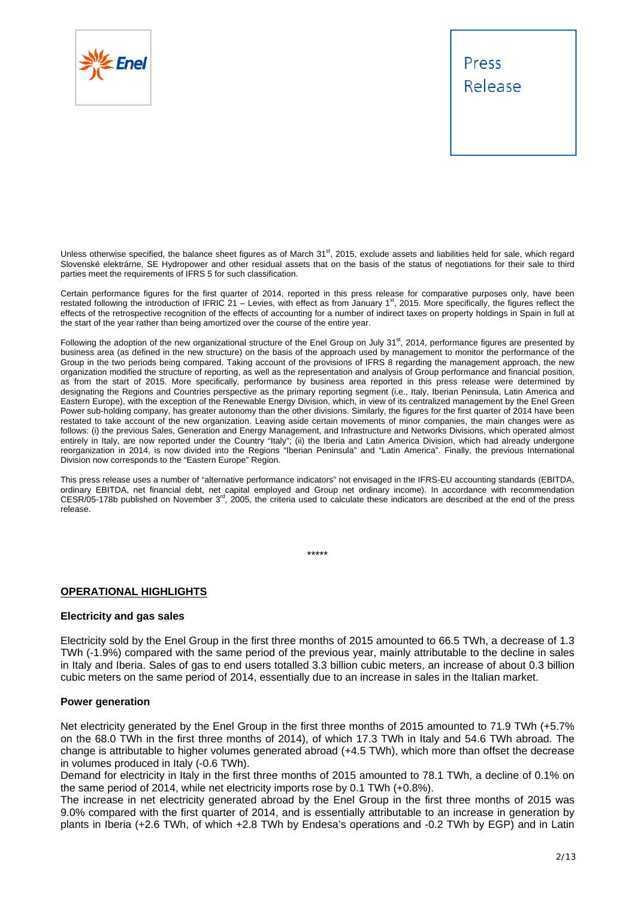

Unless otherwise specified, the balance sheet figures as of March 31<sup>st</sup>, 2015, exclude assets and liabilities held for sale, which regard Slovenské elektrárne, SE Hydropower and other residual assets that on the basis of the status of negotiations for their sale to third parties meet the requirements of IFRS 5 for such classification.

Certain performance figures for the first quarter of 2014, reported in this press release for comparative purposes only, have been restated following the introduction of IFRIC 21 – Levies, with effect as from January 1<sup>st</sup>, 2015. More specifically, the figures reflect the effects of the retrospective recognition of the effects of accounting for a number of indirect taxes on property holdings in Spain in full at the start of the year rather than being amortized over the course of the entire year.

Following the adoption of the new organizational structure of the Enel Group on July  $31^{st}$ , 2014, performance figures are presented by business area (as defined in the new structure) on the basis of the approach used by management to monitor the performance of the Group in the two periods being compared. Taking account of the provisions of IFRS 8 regarding the management approach, the new organization modified the structure of reporting, as well as the representation and analysis of Group performance and financial position, as from the start of 2015. More specifically, performance by business area reported in this press release were determined by designating the Regions and Countries perspective as the primary reporting segment (i.e., Italy, Iberian Peninsula, Latin America and Eastern Europe), with the exception of the Renewable Energy Division, which, in view of its centralized management by the Enel Green Power sub-holding company, has greater autonomy than the other divisions. Similarly, the figures for the first quarter of 2014 have been restated to take account of the new organization. Leaving aside certain movements of minor companies, the main changes were as follows: (i) the previous Sales, Generation and Energy Management, and Infrastructure and Networks Divisions, which operated almost entirely in Italy, are now reported under the Country "Italy"; (ii) the Iberia and Latin America Division, which had already undergone reorganization in 2014, is now divided into the Regions "Iberian Peninsula" and "Latin America". Finally, the previous International Division now corresponds to the "Eastern Europe" Region.

This press release uses a number of "alternative performance indicators" not envisaged in the IFRS-EU accounting standards (EBITDA, ordinary EBITDA, net financial debt, net capital employed and Group net ordinary income). In accordance with recommendation CESR/05-178b published on November  $3<sup>rd</sup>$ , 2005, the criteria used to calculate these indicators are described at the end of the press release.

\*\*\*\*\*

#### **OPERATIONAL HIGHLIGHTS**

#### **Electricity and gas sales**

Electricity sold by the Enel Group in the first three months of 2015 amounted to 66.5 TWh, a decrease of 1.3 TWh (-1.9%) compared with the same period of the previous year, mainly attributable to the decline in sales in Italy and Iberia. Sales of gas to end users totalled 3.3 billion cubic meters, an increase of about 0.3 billion cubic meters on the same period of 2014, essentially due to an increase in sales in the Italian market.

#### **Power generation**

Net electricity generated by the Enel Group in the first three months of 2015 amounted to 71.9 TWh (+5.7% on the 68.0 TWh in the first three months of 2014), of which 17.3 TWh in Italy and 54.6 TWh abroad. The change is attributable to higher volumes generated abroad (+4.5 TWh), which more than offset the decrease in volumes produced in Italy (-0.6 TWh).

Demand for electricity in Italy in the first three months of 2015 amounted to 78.1 TWh, a decline of 0.1% on the same period of 2014, while net electricity imports rose by 0.1 TWh (+0.8%).

The increase in net electricity generated abroad by the Enel Group in the first three months of 2015 was 9.0% compared with the first quarter of 2014, and is essentially attributable to an increase in generation by plants in Iberia (+2.6 TWh, of which +2.8 TWh by Endesa's operations and -0.2 TWh by EGP) and in Latin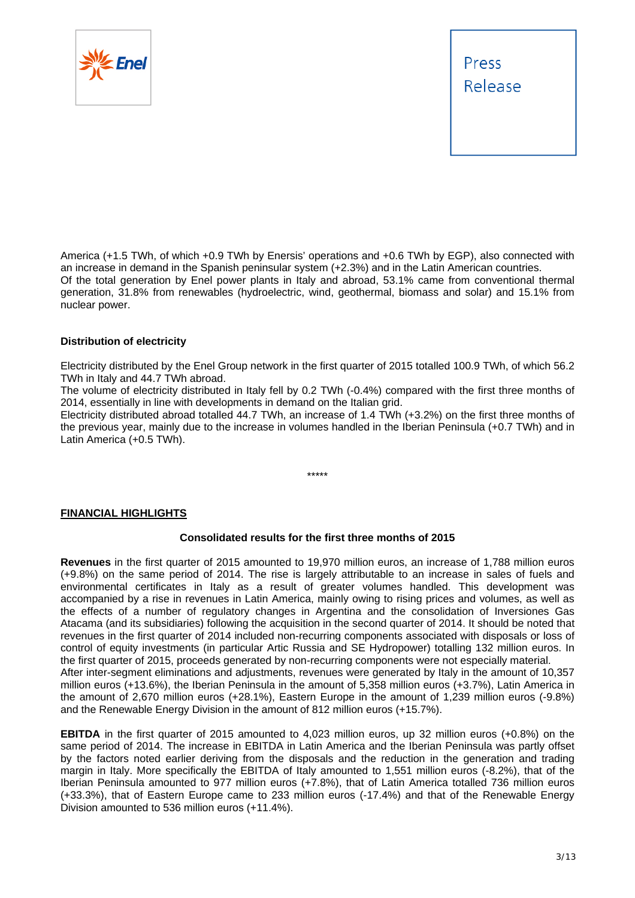

America (+1.5 TWh, of which +0.9 TWh by Enersis' operations and +0.6 TWh by EGP), also connected with an increase in demand in the Spanish peninsular system (+2.3%) and in the Latin American countries. Of the total generation by Enel power plants in Italy and abroad, 53.1% came from conventional thermal generation, 31.8% from renewables (hydroelectric, wind, geothermal, biomass and solar) and 15.1% from nuclear power.

#### **Distribution of electricity**

Electricity distributed by the Enel Group network in the first quarter of 2015 totalled 100.9 TWh, of which 56.2 TWh in Italy and 44.7 TWh abroad.

The volume of electricity distributed in Italy fell by 0.2 TWh (-0.4%) compared with the first three months of 2014, essentially in line with developments in demand on the Italian grid.

Electricity distributed abroad totalled 44.7 TWh, an increase of 1.4 TWh (+3.2%) on the first three months of the previous year, mainly due to the increase in volumes handled in the Iberian Peninsula (+0.7 TWh) and in Latin America (+0.5 TWh).

\*\*\*\*\*

#### **FINANCIAL HIGHLIGHTS**

#### **Consolidated results for the first three months of 2015**

**Revenues** in the first quarter of 2015 amounted to 19,970 million euros, an increase of 1,788 million euros (+9.8%) on the same period of 2014. The rise is largely attributable to an increase in sales of fuels and environmental certificates in Italy as a result of greater volumes handled. This development was accompanied by a rise in revenues in Latin America, mainly owing to rising prices and volumes, as well as the effects of a number of regulatory changes in Argentina and the consolidation of Inversiones Gas Atacama (and its subsidiaries) following the acquisition in the second quarter of 2014. It should be noted that revenues in the first quarter of 2014 included non-recurring components associated with disposals or loss of control of equity investments (in particular Artic Russia and SE Hydropower) totalling 132 million euros. In the first quarter of 2015, proceeds generated by non-recurring components were not especially material. After inter-segment eliminations and adjustments, revenues were generated by Italy in the amount of 10,357 million euros (+13.6%), the Iberian Peninsula in the amount of 5,358 million euros (+3.7%), Latin America in the amount of 2,670 million euros (+28.1%), Eastern Europe in the amount of 1,239 million euros (-9.8%) and the Renewable Energy Division in the amount of 812 million euros (+15.7%).

**EBITDA** in the first quarter of 2015 amounted to 4,023 million euros, up 32 million euros (+0.8%) on the same period of 2014. The increase in EBITDA in Latin America and the Iberian Peninsula was partly offset by the factors noted earlier deriving from the disposals and the reduction in the generation and trading margin in Italy. More specifically the EBITDA of Italy amounted to 1,551 million euros (-8.2%), that of the Iberian Peninsula amounted to 977 million euros (+7.8%), that of Latin America totalled 736 million euros (+33.3%), that of Eastern Europe came to 233 million euros (-17.4%) and that of the Renewable Energy Division amounted to 536 million euros (+11.4%).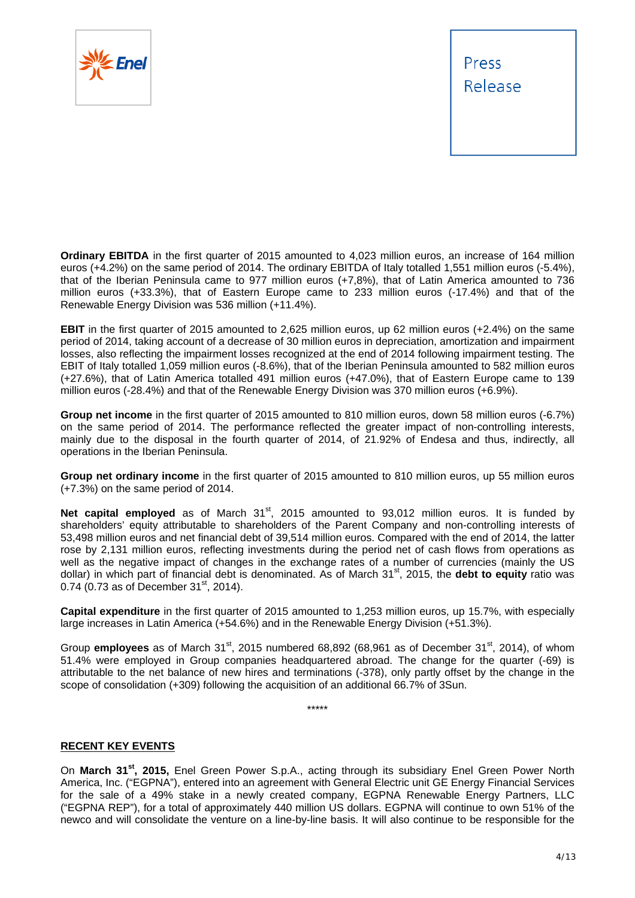

**Ordinary EBITDA** in the first quarter of 2015 amounted to 4,023 million euros, an increase of 164 million euros (+4.2%) on the same period of 2014. The ordinary EBITDA of Italy totalled 1,551 million euros (-5.4%), that of the Iberian Peninsula came to 977 million euros (+7,8%), that of Latin America amounted to 736 million euros (+33.3%), that of Eastern Europe came to 233 million euros (-17.4%) and that of the Renewable Energy Division was 536 million (+11.4%).

**EBIT** in the first quarter of 2015 amounted to 2,625 million euros, up 62 million euros (+2.4%) on the same period of 2014, taking account of a decrease of 30 million euros in depreciation, amortization and impairment losses, also reflecting the impairment losses recognized at the end of 2014 following impairment testing. The EBIT of Italy totalled 1,059 million euros (-8.6%), that of the Iberian Peninsula amounted to 582 million euros (+27.6%), that of Latin America totalled 491 million euros (+47.0%), that of Eastern Europe came to 139 million euros (-28.4%) and that of the Renewable Energy Division was 370 million euros (+6.9%).

**Group net income** in the first quarter of 2015 amounted to 810 million euros, down 58 million euros (-6.7%) on the same period of 2014. The performance reflected the greater impact of non-controlling interests, mainly due to the disposal in the fourth quarter of 2014, of 21.92% of Endesa and thus, indirectly, all operations in the Iberian Peninsula.

**Group net ordinary income** in the first quarter of 2015 amounted to 810 million euros, up 55 million euros (+7.3%) on the same period of 2014.

**Net capital employed** as of March 31<sup>st</sup>, 2015 amounted to 93,012 million euros. It is funded by shareholders' equity attributable to shareholders of the Parent Company and non-controlling interests of 53,498 million euros and net financial debt of 39,514 million euros. Compared with the end of 2014, the latter rose by 2,131 million euros, reflecting investments during the period net of cash flows from operations as well as the negative impact of changes in the exchange rates of a number of currencies (mainly the US dollar) in which part of financial debt is denominated. As of March 31<sup>st</sup>, 2015, the **debt to equity** ratio was 0.74  $(0.73$  as of December 31<sup>st</sup>, 2014).

**Capital expenditure** in the first quarter of 2015 amounted to 1,253 million euros, up 15.7%, with especially large increases in Latin America (+54.6%) and in the Renewable Energy Division (+51.3%).

Group **employees** as of March 31<sup>st</sup>, 2015 numbered 68,892 (68,961 as of December 31<sup>st</sup>, 2014), of whom 51.4% were employed in Group companies headquartered abroad. The change for the quarter (-69) is attributable to the net balance of new hires and terminations (-378), only partly offset by the change in the scope of consolidation (+309) following the acquisition of an additional 66.7% of 3Sun.

\*\*\*\*\*

#### **RECENT KEY EVENTS**

On **March 31st, 2015,** Enel Green Power S.p.A., acting through its subsidiary Enel Green Power North America, Inc. ("EGPNA"), entered into an agreement with General Electric unit GE Energy Financial Services for the sale of a 49% stake in a newly created company, EGPNA Renewable Energy Partners, LLC ("EGPNA REP"), for a total of approximately 440 million US dollars. EGPNA will continue to own 51% of the newco and will consolidate the venture on a line-by-line basis. It will also continue to be responsible for the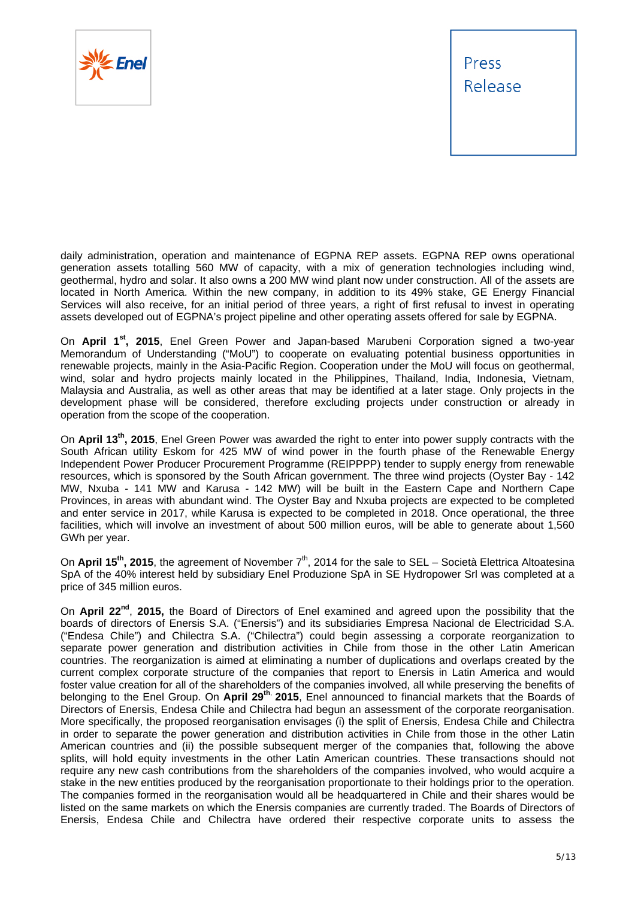

daily administration, operation and maintenance of EGPNA REP assets. EGPNA REP owns operational generation assets totalling 560 MW of capacity, with a mix of generation technologies including wind, geothermal, hydro and solar. It also owns a 200 MW wind plant now under construction. All of the assets are located in North America. Within the new company, in addition to its 49% stake, GE Energy Financial Services will also receive, for an initial period of three years, a right of first refusal to invest in operating assets developed out of EGPNA's project pipeline and other operating assets offered for sale by EGPNA.

On **April 1st, 2015**, Enel Green Power and Japan-based Marubeni Corporation signed a two-year Memorandum of Understanding ("MoU") to cooperate on evaluating potential business opportunities in renewable projects, mainly in the Asia-Pacific Region. Cooperation under the MoU will focus on geothermal, wind, solar and hydro projects mainly located in the Philippines, Thailand, India, Indonesia, Vietnam, Malaysia and Australia, as well as other areas that may be identified at a later stage. Only projects in the development phase will be considered, therefore excluding projects under construction or already in operation from the scope of the cooperation.

On **April 13th, 2015**, Enel Green Power was awarded the right to enter into power supply contracts with the South African utility Eskom for 425 MW of wind power in the fourth phase of the Renewable Energy Independent Power Producer Procurement Programme (REIPPPP) tender to supply energy from renewable resources, which is sponsored by the South African government. The three wind projects (Oyster Bay - 142 MW, Nxuba - 141 MW and Karusa - 142 MW) will be built in the Eastern Cape and Northern Cape Provinces, in areas with abundant wind. The Oyster Bay and Nxuba projects are expected to be completed and enter service in 2017, while Karusa is expected to be completed in 2018. Once operational, the three facilities, which will involve an investment of about 500 million euros, will be able to generate about 1,560 GWh per year.

On April 15<sup>th</sup>, 2015, the agreement of November 7<sup>th</sup>, 2014 for the sale to SEL – Società Elettrica Altoatesina SpA of the 40% interest held by subsidiary Enel Produzione SpA in SE Hydropower Srl was completed at a price of 345 million euros.

On **April 22nd**, **2015,** the Board of Directors of Enel examined and agreed upon the possibility that the boards of directors of Enersis S.A. ("Enersis") and its subsidiaries Empresa Nacional de Electricidad S.A. ("Endesa Chile") and Chilectra S.A. ("Chilectra") could begin assessing a corporate reorganization to separate power generation and distribution activities in Chile from those in the other Latin American countries. The reorganization is aimed at eliminating a number of duplications and overlaps created by the current complex corporate structure of the companies that report to Enersis in Latin America and would foster value creation for all of the shareholders of the companies involved, all while preserving the benefits of belonging to the Enel Group. On **April 29th**, **2015**, Enel announced to financial markets that the Boards of Directors of Enersis, Endesa Chile and Chilectra had begun an assessment of the corporate reorganisation. More specifically, the proposed reorganisation envisages (i) the split of Enersis, Endesa Chile and Chilectra in order to separate the power generation and distribution activities in Chile from those in the other Latin American countries and (ii) the possible subsequent merger of the companies that, following the above splits, will hold equity investments in the other Latin American countries. These transactions should not require any new cash contributions from the shareholders of the companies involved, who would acquire a stake in the new entities produced by the reorganisation proportionate to their holdings prior to the operation. The companies formed in the reorganisation would all be headquartered in Chile and their shares would be listed on the same markets on which the Enersis companies are currently traded. The Boards of Directors of Enersis, Endesa Chile and Chilectra have ordered their respective corporate units to assess the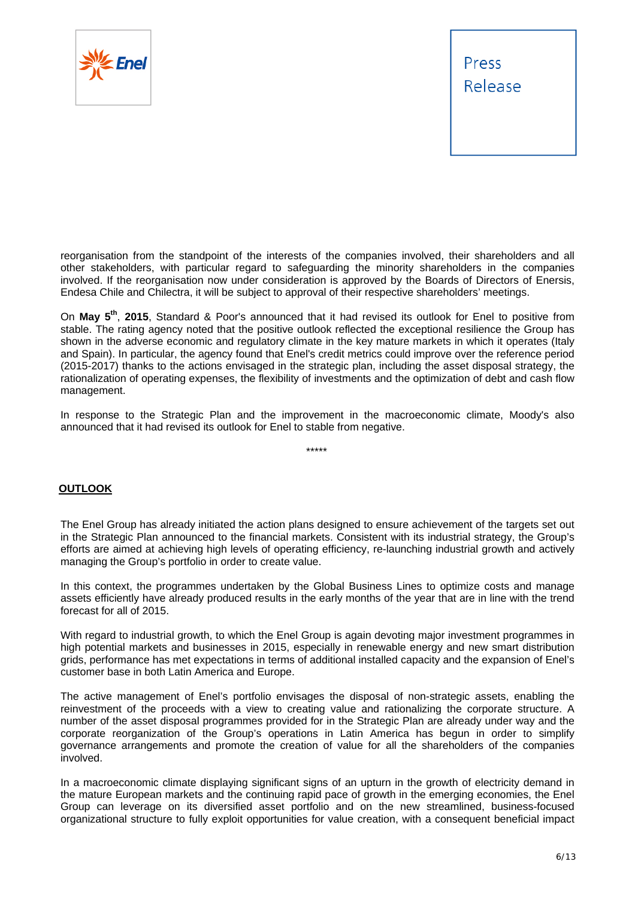



reorganisation from the standpoint of the interests of the companies involved, their shareholders and all other stakeholders, with particular regard to safeguarding the minority shareholders in the companies involved. If the reorganisation now under consideration is approved by the Boards of Directors of Enersis, Endesa Chile and Chilectra, it will be subject to approval of their respective shareholders' meetings.

On **May 5th**, **2015**, Standard & Poor's announced that it had revised its outlook for Enel to positive from stable. The rating agency noted that the positive outlook reflected the exceptional resilience the Group has shown in the adverse economic and regulatory climate in the key mature markets in which it operates (Italy and Spain). In particular, the agency found that Enel's credit metrics could improve over the reference period (2015-2017) thanks to the actions envisaged in the strategic plan, including the asset disposal strategy, the rationalization of operating expenses, the flexibility of investments and the optimization of debt and cash flow management.

In response to the Strategic Plan and the improvement in the macroeconomic climate, Moody's also announced that it had revised its outlook for Enel to stable from negative.

\*\*\*\*\*

#### **OUTLOOK**

The Enel Group has already initiated the action plans designed to ensure achievement of the targets set out in the Strategic Plan announced to the financial markets. Consistent with its industrial strategy, the Group's efforts are aimed at achieving high levels of operating efficiency, re-launching industrial growth and actively managing the Group's portfolio in order to create value.

In this context, the programmes undertaken by the Global Business Lines to optimize costs and manage assets efficiently have already produced results in the early months of the year that are in line with the trend forecast for all of 2015.

With regard to industrial growth, to which the Enel Group is again devoting major investment programmes in high potential markets and businesses in 2015, especially in renewable energy and new smart distribution grids, performance has met expectations in terms of additional installed capacity and the expansion of Enel's customer base in both Latin America and Europe.

The active management of Enel's portfolio envisages the disposal of non-strategic assets, enabling the reinvestment of the proceeds with a view to creating value and rationalizing the corporate structure. A number of the asset disposal programmes provided for in the Strategic Plan are already under way and the corporate reorganization of the Group's operations in Latin America has begun in order to simplify governance arrangements and promote the creation of value for all the shareholders of the companies involved.

In a macroeconomic climate displaying significant signs of an upturn in the growth of electricity demand in the mature European markets and the continuing rapid pace of growth in the emerging economies, the Enel Group can leverage on its diversified asset portfolio and on the new streamlined, business-focused organizational structure to fully exploit opportunities for value creation, with a consequent beneficial impact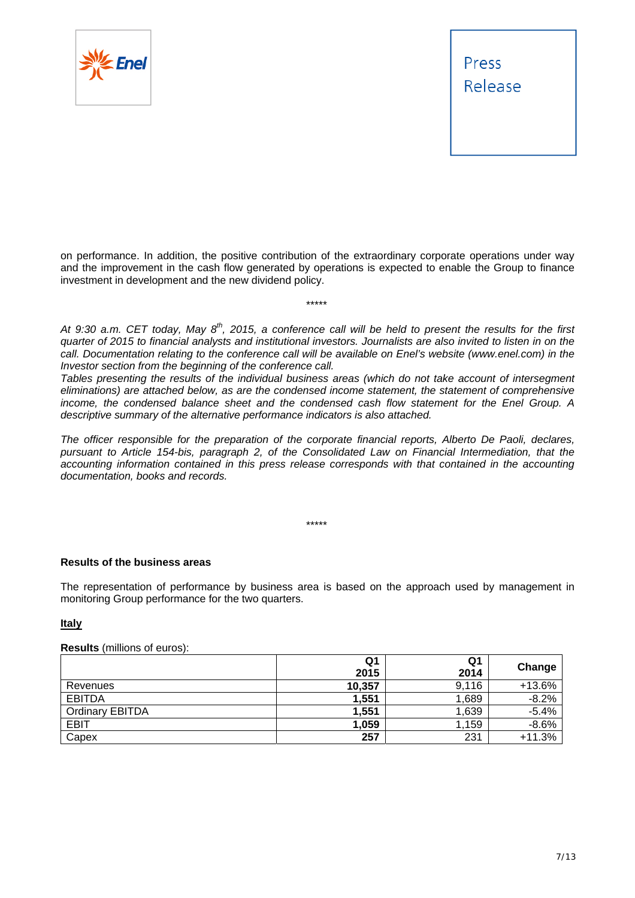

on performance. In addition, the positive contribution of the extraordinary corporate operations under way and the improvement in the cash flow generated by operations is expected to enable the Group to finance investment in development and the new dividend policy.

\*\*\*\*\*

At 9:30 a.m. CET today, May 8<sup>th</sup>, 2015, a conference call will be held to present the results for the first *quarter of 2015 to financial analysts and institutional investors. Journalists are also invited to listen in on the call. Documentation relating to the conference call will be available on Enel's website (www.enel.com) in the Investor section from the beginning of the conference call.* 

*Tables presenting the results of the individual business areas (which do not take account of intersegment eliminations) are attached below, as are the condensed income statement, the statement of comprehensive income, the condensed balance sheet and the condensed cash flow statement for the Enel Group. A descriptive summary of the alternative performance indicators is also attached.* 

*The officer responsible for the preparation of the corporate financial reports, Alberto De Paoli, declares, pursuant to Article 154-bis, paragraph 2, of the Consolidated Law on Financial Intermediation, that the accounting information contained in this press release corresponds with that contained in the accounting documentation, books and records.* 

\*\*\*\*\*

#### **Results of the business areas**

The representation of performance by business area is based on the approach used by management in monitoring Group performance for the two quarters.

#### **Italy**

#### **Results** (millions of euros):

|                        | Q1<br>2015 | Q1<br>2014 | Change   |
|------------------------|------------|------------|----------|
| Revenues               | 10,357     | 9,116      | $+13.6%$ |
| <b>EBITDA</b>          | 1,551      | 1,689      | $-8.2%$  |
| <b>Ordinary EBITDA</b> | 1,551      | 1,639      | $-5.4%$  |
| <b>EBIT</b>            | 1,059      | 1,159      | $-8.6%$  |
| Capex                  | 257        | 231        | $+11.3%$ |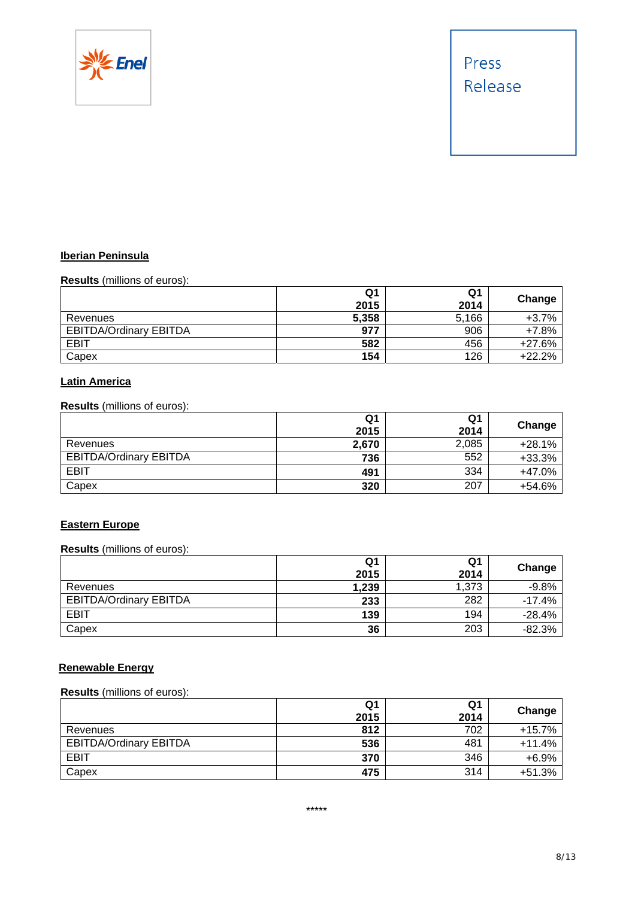

#### **Iberian Peninsula**

**Results** (millions of euros):

|                               | Q1<br>2015 | Q1<br>2014 | Change   |
|-------------------------------|------------|------------|----------|
| Revenues                      | 5,358      | 5,166      | $+3.7%$  |
| <b>EBITDA/Ordinary EBITDA</b> | 977        | 906        | $+7.8%$  |
| <b>EBIT</b>                   | 582        | 456        | $+27.6%$ |
| Capex                         | 154        | 126        | $+22.2%$ |

#### **Latin America**

**Results** (millions of euros):

|                               | Q1    | Q1    | Change   |
|-------------------------------|-------|-------|----------|
|                               | 2015  | 2014  |          |
| Revenues                      | 2,670 | 2,085 | $+28.1%$ |
| <b>EBITDA/Ordinary EBITDA</b> | 736   | 552   | $+33.3%$ |
| EBIT                          | 491   | 334   | +47.0%   |
| Capex                         | 320   | 207   | +54.6%   |

#### **Eastern Europe**

#### **Results** (millions of euros):

|                               | Q1<br>2015 | Q1<br>2014 | Change   |
|-------------------------------|------------|------------|----------|
| Revenues                      | 1,239      | 1,373      | $-9.8%$  |
| <b>EBITDA/Ordinary EBITDA</b> | 233        | 282        | $-17.4%$ |
| <b>EBIT</b>                   | 139        | 194        | $-28.4%$ |
| Capex                         | 36         | 203        | $-82.3%$ |

#### **Renewable Energy**

#### **Results** (millions of euros):

|                               | Q1<br>2015 | Q1<br>2014 | Change   |
|-------------------------------|------------|------------|----------|
| Revenues                      | 812        | 702        | $+15.7%$ |
| <b>EBITDA/Ordinary EBITDA</b> | 536        | 481        | $+11.4%$ |
| <b>EBIT</b>                   | 370        | 346        | $+6.9%$  |
| Capex                         | 475        | 314        | $+51.3%$ |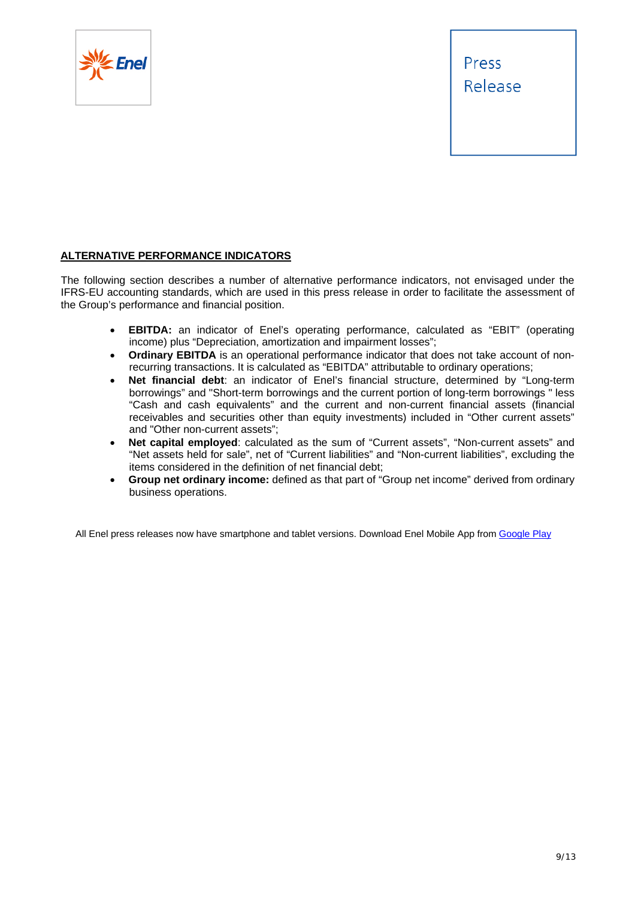

#### **ALTERNATIVE PERFORMANCE INDICATORS**

The following section describes a number of alternative performance indicators, not envisaged under the IFRS-EU accounting standards, which are used in this press release in order to facilitate the assessment of the Group's performance and financial position.

- **EBITDA:** an indicator of Enel's operating performance, calculated as "EBIT" (operating income) plus "Depreciation, amortization and impairment losses";
- **Ordinary EBITDA** is an operational performance indicator that does not take account of nonrecurring transactions. It is calculated as "EBITDA" attributable to ordinary operations;
- **Net financial debt**: an indicator of Enel's financial structure, determined by "Long-term borrowings" and "Short-term borrowings and the current portion of long-term borrowings " less "Cash and cash equivalents" and the current and non-current financial assets (financial receivables and securities other than equity investments) included in "Other current assets" and "Other non-current assets";
- **Net capital employed**: calculated as the sum of "Current assets", "Non-current assets" and "Net assets held for sale", net of "Current liabilities" and "Non-current liabilities", excluding the items considered in the definition of net financial debt;
- **Group net ordinary income:** defined as that part of "Group net income" derived from ordinary business operations.

All Enel press releases now have smartphone and tablet versions. Download Enel Mobile App from Google Play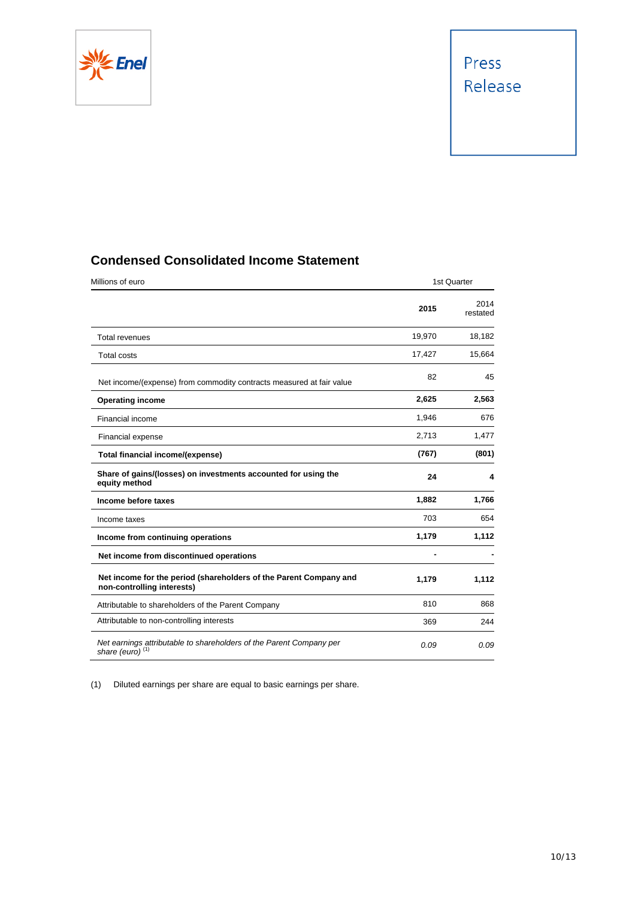

### **Condensed Consolidated Income Statement**

| Millions of euro                                                                                   |        | 1st Quarter      |
|----------------------------------------------------------------------------------------------------|--------|------------------|
|                                                                                                    | 2015   | 2014<br>restated |
| <b>Total revenues</b>                                                                              | 19.970 | 18,182           |
| <b>Total costs</b>                                                                                 | 17,427 | 15,664           |
| Net income/(expense) from commodity contracts measured at fair value                               | 82     | 45               |
| <b>Operating income</b>                                                                            | 2,625  | 2,563            |
| Financial income                                                                                   | 1,946  | 676              |
| Financial expense                                                                                  | 2,713  | 1,477            |
| Total financial income/(expense)                                                                   | (767)  | (801)            |
| Share of gains/(losses) on investments accounted for using the<br>equity method                    | 24     | 4                |
| Income before taxes                                                                                | 1,882  | 1,766            |
| Income taxes                                                                                       | 703    | 654              |
| Income from continuing operations                                                                  | 1,179  | 1,112            |
| Net income from discontinued operations                                                            |        |                  |
| Net income for the period (shareholders of the Parent Company and<br>non-controlling interests)    | 1,179  | 1,112            |
| Attributable to shareholders of the Parent Company                                                 | 810    | 868              |
| Attributable to non-controlling interests                                                          | 369    | 244              |
| Net earnings attributable to shareholders of the Parent Company per<br>share (euro) <sup>(1)</sup> | 0.09   | 0.09             |

(1) Diluted earnings per share are equal to basic earnings per share.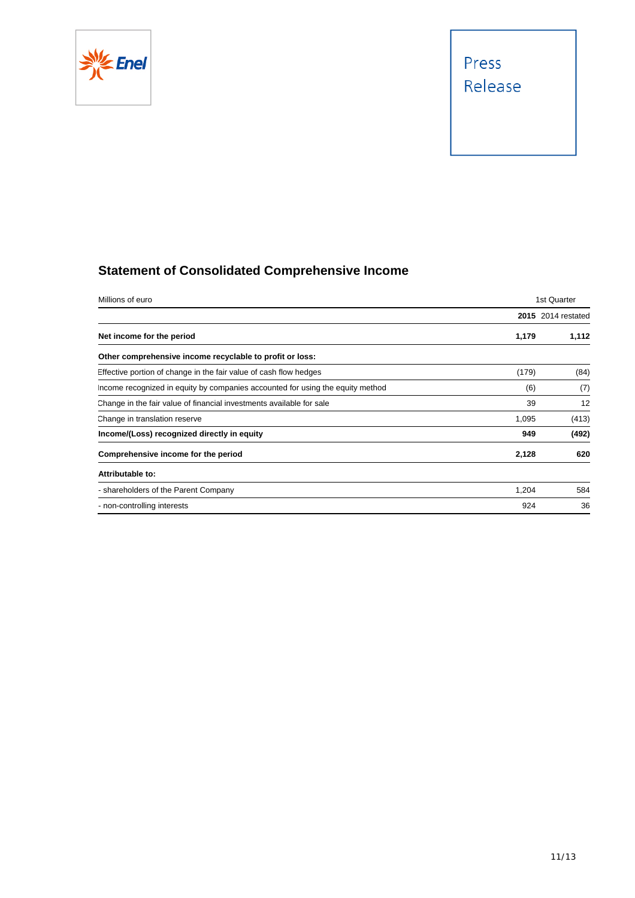

## **Statement of Consolidated Comprehensive Income**

| Millions of euro                                                               | 1st Quarter |                           |  |
|--------------------------------------------------------------------------------|-------------|---------------------------|--|
|                                                                                |             | <b>2015</b> 2014 restated |  |
| Net income for the period                                                      | 1,179       | 1,112                     |  |
| Other comprehensive income recyclable to profit or loss:                       |             |                           |  |
| Effective portion of change in the fair value of cash flow hedges              | (179)       | (84)                      |  |
| Income recognized in equity by companies accounted for using the equity method | (6)         | (7)                       |  |
| Change in the fair value of financial investments available for sale           | 39          | 12                        |  |
| Change in translation reserve                                                  | 1,095       | (413)                     |  |
| Income/(Loss) recognized directly in equity                                    | 949         | (492)                     |  |
| Comprehensive income for the period                                            | 2,128       | 620                       |  |
| Attributable to:                                                               |             |                           |  |
| - shareholders of the Parent Company                                           | 1,204       | 584                       |  |
| - non-controlling interests                                                    | 924         | 36                        |  |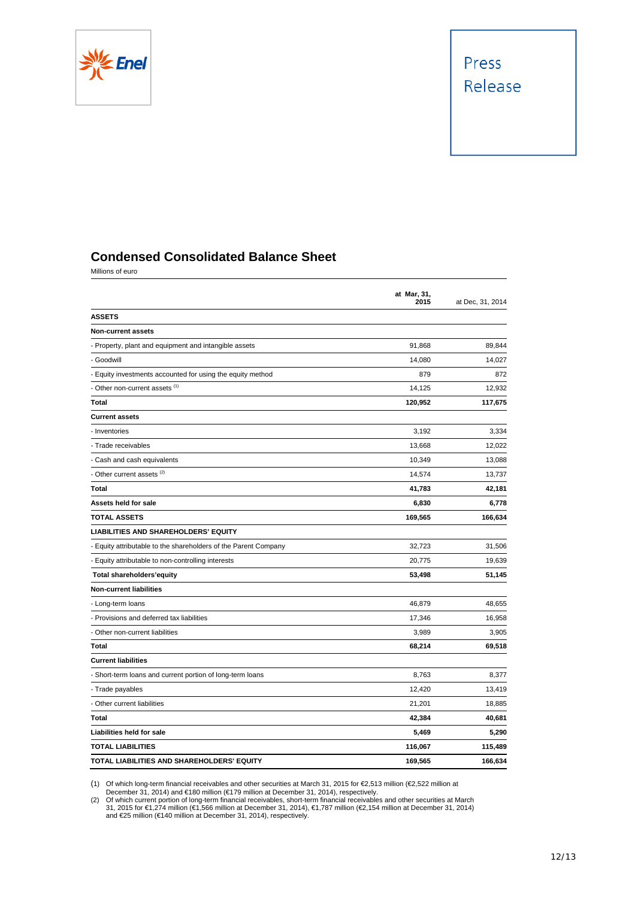

### **Condensed Consolidated Balance Sheet**

Millions of euro

|                                                                 | at Mar, 31,<br>2015 | at Dec, 31, 2014 |
|-----------------------------------------------------------------|---------------------|------------------|
| <b>ASSETS</b>                                                   |                     |                  |
| <b>Non-current assets</b>                                       |                     |                  |
| - Property, plant and equipment and intangible assets           | 91,868              | 89,844           |
| - Goodwill                                                      | 14,080              | 14,027           |
| - Equity investments accounted for using the equity method      | 879                 | 872              |
| - Other non-current assets (1)                                  | 14,125              | 12,932           |
| Total                                                           | 120,952             | 117,675          |
| <b>Current assets</b>                                           |                     |                  |
| - Inventories                                                   | 3,192               | 3,334            |
| - Trade receivables                                             | 13,668              | 12,022           |
| - Cash and cash equivalents                                     | 10,349              | 13,088           |
| - Other current assets (2)                                      | 14,574              | 13,737           |
| Total                                                           | 41,783              | 42,181           |
| Assets held for sale                                            | 6,830               | 6,778            |
| <b>TOTAL ASSETS</b>                                             | 169,565             | 166,634          |
| <b>LIABILITIES AND SHAREHOLDERS' EQUITY</b>                     |                     |                  |
| - Equity attributable to the shareholders of the Parent Company | 32,723              | 31,506           |
| - Equity attributable to non-controlling interests              | 20,775              | 19,639           |
| <b>Total shareholders'equity</b>                                | 53,498              | 51,145           |
| <b>Non-current liabilities</b>                                  |                     |                  |
| - Long-term loans                                               | 46,879              | 48,655           |
| - Provisions and deferred tax liabilities                       | 17,346              | 16,958           |
| - Other non-current liabilities                                 | 3,989               | 3,905            |
| Total                                                           | 68,214              | 69,518           |
| <b>Current liabilities</b>                                      |                     |                  |
| - Short-term loans and current portion of long-term loans       | 8,763               | 8,377            |
| - Trade payables                                                | 12,420              | 13,419           |
| - Other current liabilities                                     | 21,201              | 18,885           |
| <b>Total</b>                                                    | 42,384              | 40,681           |
| Liabilities held for sale                                       | 5,469               | 5,290            |
| <b>TOTAL LIABILITIES</b>                                        | 116,067             | 115,489          |
| TOTAL LIABILITIES AND SHAREHOLDERS' EQUITY                      | 169.565             | 166,634          |

(1) Of which long-term financial receivables and other securities at March 31, 2015 for €2,513 million (€2,522 million at December 31, 2014) and €180 million (€179 million at December 31, 2014), respectively.<br>
(2) Of whi